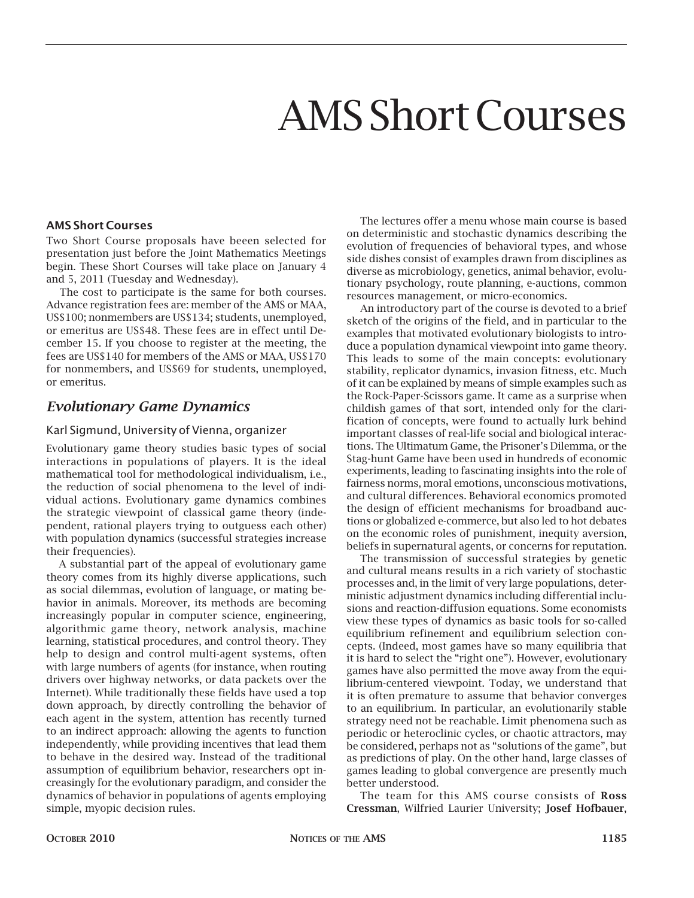# AMS Short Courses

#### **AMS Short Courses**

Two Short Course proposals have beeen selected for presentation just before the Joint Mathematics Meetings begin. These Short Courses will take place on January 4 and 5, 2011 (Tuesday and Wednesday).

The cost to participate is the same for both courses. Advance registration fees are: member of the AMS or MAA, US\$100; nonmembers are US\$134; students, unemployed, or emeritus are US\$48. These fees are in effect until December 15. If you choose to register at the meeting, the fees are US\$140 for members of the AMS or MAA, US\$170 for nonmembers, and US\$69 for students, unemployed, or emeritus.

## *Evolutionary Game Dynamics*

#### Karl Sigmund, University of Vienna, organizer

Evolutionary game theory studies basic types of social interactions in populations of players. It is the ideal mathematical tool for methodological individualism, i.e., the reduction of social phenomena to the level of individual actions. Evolutionary game dynamics combines the strategic viewpoint of classical game theory (independent, rational players trying to outguess each other) with population dynamics (successful strategies increase their frequencies).

A substantial part of the appeal of evolutionary game theory comes from its highly diverse applications, such as social dilemmas, evolution of language, or mating behavior in animals. Moreover, its methods are becoming increasingly popular in computer science, engineering, algorithmic game theory, network analysis, machine learning, statistical procedures, and control theory. They help to design and control multi-agent systems, often with large numbers of agents (for instance, when routing drivers over highway networks, or data packets over the Internet). While traditionally these fields have used a top down approach, by directly controlling the behavior of each agent in the system, attention has recently turned to an indirect approach: allowing the agents to function independently, while providing incentives that lead them to behave in the desired way. Instead of the traditional assumption of equilibrium behavior, researchers opt increasingly for the evolutionary paradigm, and consider the dynamics of behavior in populations of agents employing simple, myopic decision rules.

The lectures offer a menu whose main course is based on deterministic and stochastic dynamics describing the evolution of frequencies of behavioral types, and whose side dishes consist of examples drawn from disciplines as diverse as microbiology, genetics, animal behavior, evolutionary psychology, route planning, e-auctions, common resources management, or micro-economics.

An introductory part of the course is devoted to a brief sketch of the origins of the field, and in particular to the examples that motivated evolutionary biologists to introduce a population dynamical viewpoint into game theory. This leads to some of the main concepts: evolutionary stability, replicator dynamics, invasion fitness, etc. Much of it can be explained by means of simple examples such as the Rock-Paper-Scissors game. It came as a surprise when childish games of that sort, intended only for the clarification of concepts, were found to actually lurk behind important classes of real-life social and biological interactions. The Ultimatum Game, the Prisoner's Dilemma, or the Stag-hunt Game have been used in hundreds of economic experiments, leading to fascinating insights into the role of fairness norms, moral emotions, unconscious motivations, and cultural differences. Behavioral economics promoted the design of efficient mechanisms for broadband auctions or globalized e-commerce, but also led to hot debates on the economic roles of punishment, inequity aversion, beliefs in supernatural agents, or concerns for reputation.

The transmission of successful strategies by genetic and cultural means results in a rich variety of stochastic processes and, in the limit of very large populations, deterministic adjustment dynamics including differential inclusions and reaction-diffusion equations. Some economists view these types of dynamics as basic tools for so-called equilibrium refinement and equilibrium selection concepts. (Indeed, most games have so many equilibria that it is hard to select the "right one"). However, evolutionary games have also permitted the move away from the equilibrium-centered viewpoint. Today, we understand that it is often premature to assume that behavior converges to an equilibrium. In particular, an evolutionarily stable strategy need not be reachable. Limit phenomena such as periodic or heteroclinic cycles, or chaotic attractors, may be considered, perhaps not as "solutions of the game", but as predictions of play. On the other hand, large classes of games leading to global convergence are presently much better understood.

The team for this AMS course consists of **Ross Cressman**, Wilfried Laurier University; **Josef Hofbauer**,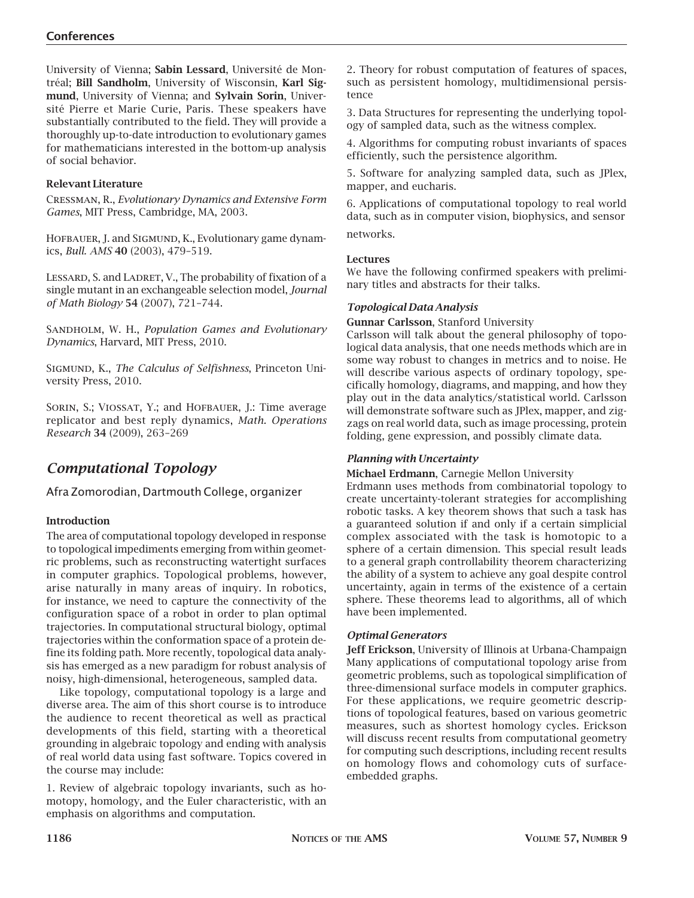University of Vienna; **Sabin Lessard**, Université de Montréal; **Bill Sandholm**, University of Wisconsin, **Karl Sigmund**, University of Vienna; and **Sylvain Sorin**, Université Pierre et Marie Curie, Paris. These speakers have substantially contributed to the field. They will provide a thoroughly up-to-date introduction to evolutionary games for mathematicians interested in the bottom-up analysis of social behavior.

#### **Relevant Literature**

Cressman, R., *Evolutionary Dynamics and Extensive Form Games*, MIT Press, Cambridge, MA, 2003.

HOFBAUER, J. and SIGMUND, K., Evolutionary game dynamics, *Bull. AMS* **40** (2003), 479–519.

LESSARD, S. and LADRET, V., The probability of fixation of a single mutant in an exchangeable selection model, *Journal of Math Biology* **54** (2007), 721–744.

SANDHOLM, W. H., *Population Games and Evolutionary Dynamics*, Harvard, MIT Press, 2010.

Sigmund, K., *The Calculus of Selfishness*, Princeton University Press, 2010.

SORIN, S.; VIOSSAT, Y.; and HOFBAUER, J.: Time average replicator and best reply dynamics, *Math. Operations Research* **34** (2009), 263–269

## *Computational Topology*

Afra Zomorodian, Dartmouth College, organizer

## **Introduction**

The area of computational topology developed in response to topological impediments emerging from within geometric problems, such as reconstructing watertight surfaces in computer graphics. Topological problems, however, arise naturally in many areas of inquiry. In robotics, for instance, we need to capture the connectivity of the configuration space of a robot in order to plan optimal trajectories. In computational structural biology, optimal trajectories within the conformation space of a protein define its folding path. More recently, topological data analysis has emerged as a new paradigm for robust analysis of noisy, high-dimensional, heterogeneous, sampled data.

Like topology, computational topology is a large and diverse area. The aim of this short course is to introduce the audience to recent theoretical as well as practical developments of this field, starting with a theoretical grounding in algebraic topology and ending with analysis of real world data using fast software. Topics covered in the course may include:

1. Review of algebraic topology invariants, such as homotopy, homology, and the Euler characteristic, with an emphasis on algorithms and computation.

2. Theory for robust computation of features of spaces, such as persistent homology, multidimensional persistence

3. Data Structures for representing the underlying topology of sampled data, such as the witness complex.

4. Algorithms for computing robust invariants of spaces efficiently, such the persistence algorithm.

5. Software for analyzing sampled data, such as JPlex, mapper, and eucharis.

6. Applications of computational topology to real world data, such as in computer vision, biophysics, and sensor networks.

## **Lectures**

We have the following confirmed speakers with preliminary titles and abstracts for their talks.

#### *Topological Data Analysis*

**Gunnar Carlsson**, Stanford University

Carlsson will talk about the general philosophy of topological data analysis, that one needs methods which are in some way robust to changes in metrics and to noise. He will describe various aspects of ordinary topology, specifically homology, diagrams, and mapping, and how they play out in the data analytics/statistical world. Carlsson will demonstrate software such as JPlex, mapper, and zigzags on real world data, such as image processing, protein folding, gene expression, and possibly climate data.

#### *Planning with Uncertainty*

**Michael Erdmann**, Carnegie Mellon University

Erdmann uses methods from combinatorial topology to create uncertainty-tolerant strategies for accomplishing robotic tasks. A key theorem shows that such a task has a guaranteed solution if and only if a certain simplicial complex associated with the task is homotopic to a sphere of a certain dimension. This special result leads to a general graph controllability theorem characterizing the ability of a system to achieve any goal despite control uncertainty, again in terms of the existence of a certain sphere. These theorems lead to algorithms, all of which have been implemented.

#### *Optimal Generators*

**Jeff Erickson**, University of Illinois at Urbana-Champaign Many applications of computational topology arise from geometric problems, such as topological simplification of three-dimensional surface models in computer graphics. For these applications, we require geometric descriptions of topological features, based on various geometric measures, such as shortest homology cycles. Erickson will discuss recent results from computational geometry for computing such descriptions, including recent results on homology flows and cohomology cuts of surfaceembedded graphs.